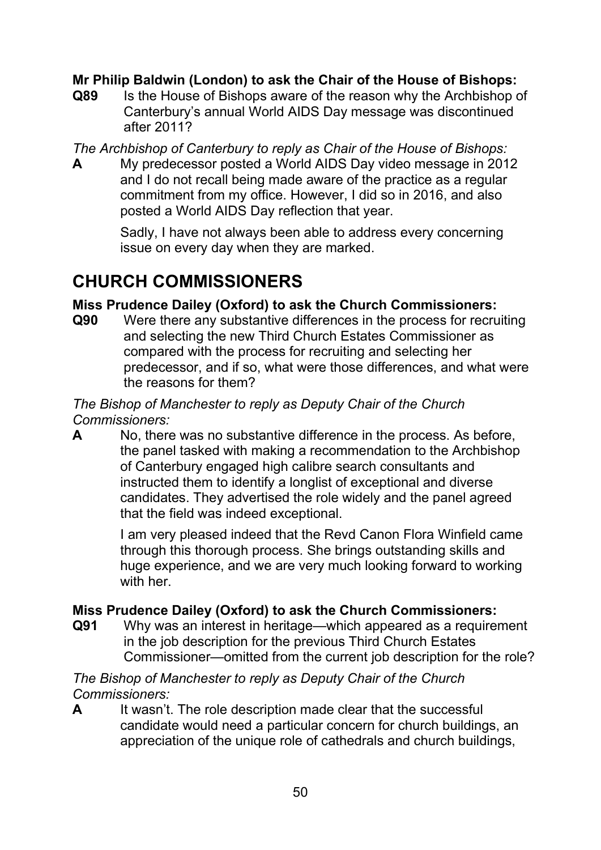### **Mr Philip Baldwin (London) to ask the Chair of the House of Bishops:**

**Q89** Is the House of Bishops aware of the reason why the Archbishop of Canterbury's annual World AIDS Day message was discontinued after 2011?

*The Archbishop of Canterbury to reply as Chair of the House of Bishops:*

**A** My predecessor posted a World AIDS Day video message in 2012 and I do not recall being made aware of the practice as a regular commitment from my office. However, I did so in 2016, and also posted a World AIDS Day reflection that year.

> Sadly, I have not always been able to address every concerning issue on every day when they are marked.

# **CHURCH COMMISSIONERS**

## **Miss Prudence Dailey (Oxford) to ask the Church Commissioners:**

**Q90** Were there any substantive differences in the process for recruiting and selecting the new Third Church Estates Commissioner as compared with the process for recruiting and selecting her predecessor, and if so, what were those differences, and what were the reasons for them?

#### *The Bishop of Manchester to reply as Deputy Chair of the Church Commissioners:*

**A** No, there was no substantive difference in the process. As before, the panel tasked with making a recommendation to the Archbishop of Canterbury engaged high calibre search consultants and instructed them to identify a longlist of exceptional and diverse candidates. They advertised the role widely and the panel agreed that the field was indeed exceptional.

> I am very pleased indeed that the Revd Canon Flora Winfield came through this thorough process. She brings outstanding skills and huge experience, and we are very much looking forward to working with her.

## **Miss Prudence Dailey (Oxford) to ask the Church Commissioners:**

**Q91** Why was an interest in heritage—which appeared as a requirement in the job description for the previous Third Church Estates Commissioner—omitted from the current job description for the role?

*The Bishop of Manchester to reply as Deputy Chair of the Church Commissioners:*

**A** It wasn't. The role description made clear that the successful candidate would need a particular concern for church buildings, an appreciation of the unique role of cathedrals and church buildings,